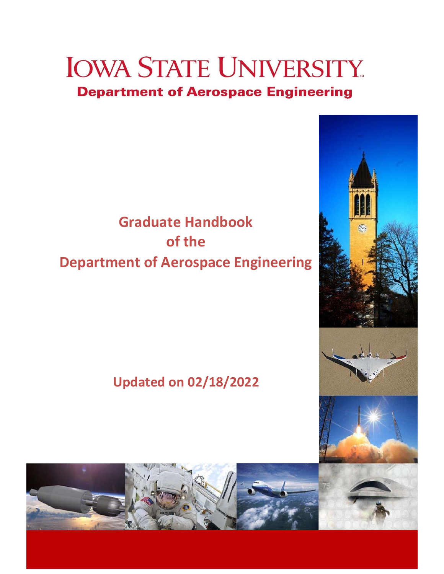# **IOWA STATE UNIVERSITY Department of Aerospace Engineering**

## **Graduate Handbook of the Department of Aerospace Engineering**

## **Updated on 02/18/2022**

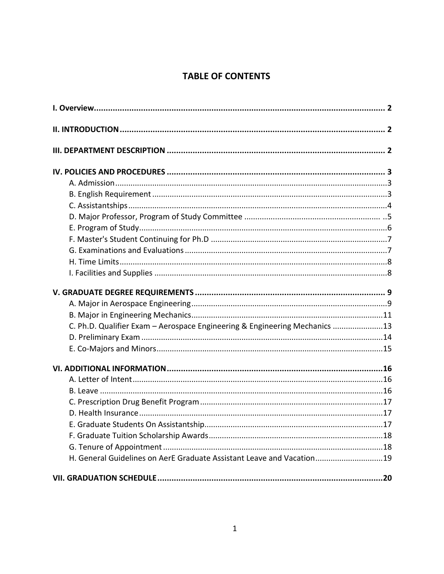### **TABLE OF CONTENTS**

| C. Ph.D. Qualifier Exam - Aerospace Engineering & Engineering Mechanics 13 |
|----------------------------------------------------------------------------|
|                                                                            |
|                                                                            |
|                                                                            |
|                                                                            |
|                                                                            |
|                                                                            |
|                                                                            |
|                                                                            |
|                                                                            |
|                                                                            |
| H. General Guidelines on AerE Graduate Assistant Leave and Vacation19      |
|                                                                            |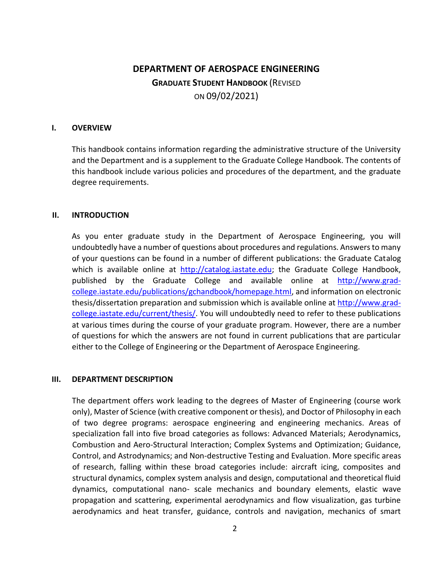### **DEPARTMENT OF AEROSPACE ENGINEERING GRADUATE STUDENT HANDBOOK** (REVISED ON 09/02/2021)

#### <span id="page-2-0"></span>**I. OVERVIEW**

This handbook contains information regarding the administrative structure of the University and the Department and is a supplement to the Graduate College Handbook. The contents of this handbook include various policies and procedures of the department, and the graduate degree requirements.

#### <span id="page-2-1"></span>**II. INTRODUCTION**

As you enter graduate study in the Department of Aerospace Engineering, you will undoubtedly have a number of questions about procedures and regulations. Answers to many of your questions can be found in a number of different publications: the Graduate Catalog which is available online at [http://catalog.iastate.edu;](http://catalog.iastate.edu/) the Graduate College Handbook, published by the Graduate College and available online at [http://www.grad](http://www.grad-college.iastate.edu/publications/gchandbook/homepage.html)[college.iastate.edu/publications/gchandbook/homepage.html,](http://www.grad-college.iastate.edu/publications/gchandbook/homepage.html) and information on electronic thesis/dissertation preparation and submission which is available online at [http://www.grad](http://www.grad-college.iastate.edu/current/thesis/)[college.iastate.edu/current/thesis/.](http://www.grad-college.iastate.edu/current/thesis/) [Y](http://www.grad-college.iastate.edu/current/thesis/)ou will undoubtedly need to refer to these publications at various times during the course of your graduate program. However, there are a number of questions for which the answers are not found in current publications that are particular either to the College of Engineering or the Department of Aerospace Engineering.

#### <span id="page-2-2"></span>**III. DEPARTMENT DESCRIPTION**

The department offers work leading to the degrees of Master of Engineering (course work only), Master of Science (with creative component or thesis), and Doctor of Philosophy in each of two degree programs: aerospace engineering and engineering mechanics. Areas of specialization fall into five broad categories as follows: Advanced Materials; Aerodynamics, Combustion and Aero-Structural Interaction; Complex Systems and Optimization; Guidance, Control, and Astrodynamics; and Non-destructive Testing and Evaluation. More specific areas of research, falling within these broad categories include: aircraft icing, composites and structural dynamics, complex system analysis and design, computational and theoretical fluid dynamics, computational nano- scale mechanics and boundary elements, elastic wave propagation and scattering, experimental aerodynamics and flow visualization, gas turbine aerodynamics and heat transfer, guidance, controls and navigation, mechanics of smart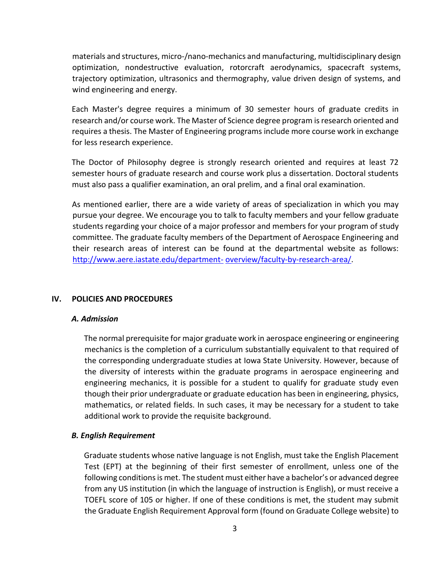materials and structures, micro-/nano-mechanics and manufacturing, multidisciplinary design optimization, nondestructive evaluation, rotorcraft aerodynamics, spacecraft systems, trajectory optimization, ultrasonics and thermography, value driven design of systems, and wind engineering and energy.

Each Master's degree requires a minimum of 30 semester hours of graduate credits in research and/or course work. The Master of Science degree program is research oriented and requires a thesis. The Master of Engineering programs include more course work in exchange for less research experience.

The Doctor of Philosophy degree is strongly research oriented and requires at least 72 semester hours of graduate research and course work plus a dissertation. Doctoral students must also pass a qualifier examination, an oral prelim, and a final oral examination.

As mentioned earlier, there are a wide variety of areas of specialization in which you may pursue your degree. We encourage you to talk to faculty members and your fellow graduate students regarding your choice of a major professor and members for your program of study committee. The graduate faculty members of the Department of Aerospace Engineering and their research areas of interest can be found at the departmental website as follows: [http://www.aere.iastate.edu/department-](http://www.aere.iastate.edu/department-overview/faculty-by-research-area/) [overview/faculty-by-research-area/.](http://www.aere.iastate.edu/department-overview/faculty-by-research-area/)

#### <span id="page-3-1"></span><span id="page-3-0"></span>**IV. POLICIES AND PROCEDURES**

#### *A. Admission*

The normal prerequisite for major graduate work in aerospace engineering or engineering mechanics is the completion of a curriculum substantially equivalent to that required of the corresponding undergraduate studies at Iowa State University. However, because of the diversity of interests within the graduate programs in aerospace engineering and engineering mechanics, it is possible for a student to qualify for graduate study even though their prior undergraduate or graduate education has been in engineering, physics, mathematics, or related fields. In such cases, it may be necessary for a student to take additional work to provide the requisite background.

#### <span id="page-3-2"></span>*B. English Requirement*

Graduate students whose native language is not English, must take the English Placement Test (EPT) at the beginning of their first semester of enrollment, unless one of the following conditions is met. The student must either have a bachelor's or advanced degree from any US institution (in which the language of instruction is English), or must receive a TOEFL score of 105 or higher. If one of these conditions is met, the student may submit the Graduate English Requirement Approval form (found on Graduate College website) to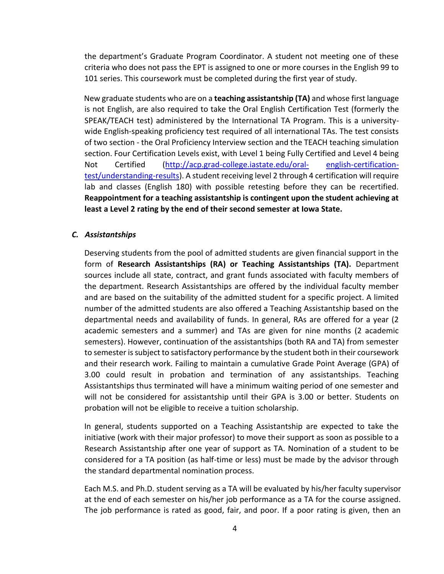the department's Graduate Program Coordinator. A student not meeting one of these criteria who does not pass the EPT is assigned to one or more courses in the English 99 to 101 series. This coursework must be completed during the first year of study.

New graduate students who are on a **teaching assistantship (TA)** and whose first language is not English, are also required to take the Oral English Certification Test (formerly the SPEAK/TEACH test) administered by the International TA Program. This is a universitywide English-speaking proficiency test required of all international TAs. The test consists of two section - the Oral Proficiency Interview section and the TEACH teaching simulation section. Four Certification Levels exist, with Level 1 being Fully Certified and Level 4 being Not Certified [\(http://acp.grad-college.iastate.edu/oral-](http://acp.grad-college.iastate.edu/oral-english-certification-test/understanding-results) [english-certification](http://acp.grad-college.iastate.edu/oral-english-certification-test/understanding-results)[test/understanding-results\).](http://acp.grad-college.iastate.edu/oral-english-certification-test/understanding-results) A student receiving level 2 through 4 certification will require lab and classes (English 180) with possible retesting before they can be recertified. **Reappointment for a teaching assistantship is contingent upon the student achieving at least a Level 2 rating by the end of their second semester at Iowa State.** 

#### <span id="page-4-0"></span>*C. Assistantships*

Deserving students from the pool of admitted students are given financial support in the form of **Research Assistantships (RA) or Teaching Assistantships (TA).** Department sources include all state, contract, and grant funds associated with faculty members of the department. Research Assistantships are offered by the individual faculty member and are based on the suitability of the admitted student for a specific project. A limited number of the admitted students are also offered a Teaching Assistantship based on the departmental needs and availability of funds. In general, RAs are offered for a year (2 academic semesters and a summer) and TAs are given for nine months (2 academic semesters). However, continuation of the assistantships (both RA and TA) from semester to semester is subject to satisfactory performance by the student both in their coursework and their research work. Failing to maintain a cumulative Grade Point Average (GPA) of 3.00 could result in probation and termination of any assistantships. Teaching Assistantships thus terminated will have a minimum waiting period of one semester and will not be considered for assistantship until their GPA is 3.00 or better. Students on probation will not be eligible to receive a tuition scholarship.

In general, students supported on a Teaching Assistantship are expected to take the initiative (work with their major professor) to move their support as soon as possible to a Research Assistantship after one year of support as TA. Nomination of a student to be considered for a TA position (as half-time or less) must be made by the advisor through the standard departmental nomination process.

Each M.S. and Ph.D. student serving as a TA will be evaluated by his/her faculty supervisor at the end of each semester on his/her job performance as a TA for the course assigned. The job performance is rated as good, fair, and poor. If a poor rating is given, then an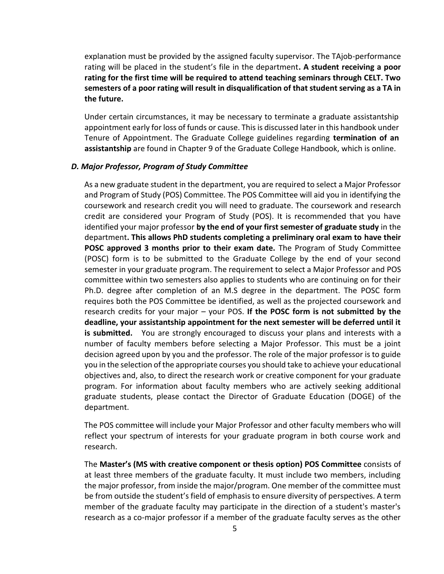explanation must be provided by the assigned faculty supervisor. The TAjob-performance rating will be placed in the student's file in the department**. A student receiving a poor rating for the first time will be required to attend teaching seminars through CELT. Two semesters of a poor rating will result in disqualification of that student serving as a TA in the future.** 

Under certain circumstances, it may be necessary to terminate a graduate assistantship appointment early for loss of funds or cause. This is discussed later in this handbook under Tenure of Appointment. The Graduate College guidelines regarding **termination of an assistantship** are found in Chapter 9 of the Graduate College Handbook, which is online.

#### <span id="page-5-0"></span>*D. Major Professor, Program of Study Committee*

As a new graduate student in the department, you are required to select a Major Professor and Program of Study (POS) Committee. The POS Committee will aid you in identifying the coursework and research credit you will need to graduate. The coursework and research credit are considered your Program of Study (POS). It is recommended that you have identified your major professor **by the end of your first semester of graduate study** in the department**. This allows PhD students completing a preliminary oral exam to have their POSC approved 3 months prior to their exam date.** The Program of Study Committee (POSC) form is to be submitted to the Graduate College by the end of your second semester in your graduate program. The requirement to select a Major Professor and POS committee within two semesters also applies to students who are continuing on for their Ph.D. degree after completion of an M.S degree in the department. The POSC form requires both the POS Committee be identified, as well as the projected coursework and research credits for your major – your POS. **If the POSC form is not submitted by the deadline, your assistantship appointment for the next semester will be deferred until it is submitted.** You are strongly encouraged to discuss your plans and interests with a number of faculty members before selecting a Major Professor. This must be a joint decision agreed upon by you and the professor. The role of the major professor is to guide you in the selection of the appropriate courses you should take to achieve your educational objectives and, also, to direct the research work or creative component for your graduate program. For information about faculty members who are actively seeking additional graduate students, please contact the Director of Graduate Education (DOGE) of the department.

The POS committee will include your Major Professor and other faculty members who will reflect your spectrum of interests for your graduate program in both course work and research.

The **Master's (MS with creative component or thesis option) POS Committee** consists of at least three members of the graduate faculty. It must include two members, including the major professor, from inside the major/program. One member of the committee must be from outside the student's field of emphasis to ensure diversity of perspectives. A term member of the graduate faculty may participate in the direction of a student's master's research as a co-major professor if a member of the graduate faculty serves as the other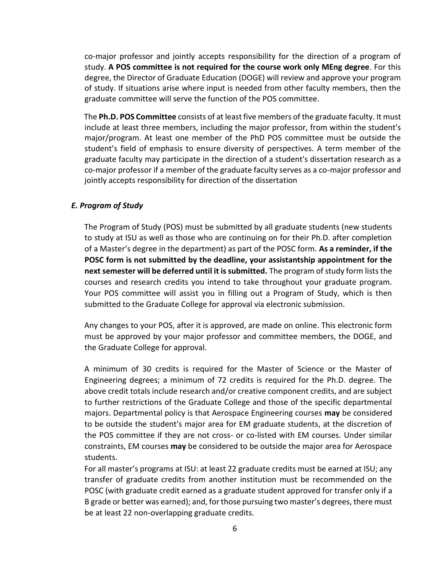co-major professor and jointly accepts responsibility for the direction of a program of study. **A POS committee is not required for the course work only MEng degree**. For this degree, the Director of Graduate Education (DOGE) will review and approve your program of study. If situations arise where input is needed from other faculty members, then the graduate committee will serve the function of the POS committee.

The **Ph.D. POS Committee** consists of at least five members of the graduate faculty. It must include at least three members, including the major professor, from within the student's major/program. At least one member of the PhD POS committee must be outside the student's field of emphasis to ensure diversity of perspectives. A term member of the graduate faculty may participate in the direction of a student's dissertation research as a co-major professor if a member of the graduate faculty serves as a co-major professor and jointly accepts responsibility for direction of the dissertation

#### <span id="page-6-0"></span>*E. Program of Study*

The Program of Study (POS) must be submitted by all graduate students (new students to study at ISU as well as those who are continuing on for their Ph.D. after completion of a Master's degree in the department) as part of the POSC form. **As a reminder, if the POSC form is not submitted by the deadline, your assistantship appointment for the next semester will be deferred until it is submitted.** The program of study form lists the courses and research credits you intend to take throughout your graduate program. Your POS committee will assist you in filling out a Program of Study, which is then submitted to the Graduate College for approval via electronic submission.

Any changes to your POS, after it is approved, are made on online. This electronic form must be approved by your major professor and committee members, the DOGE, and the Graduate College for approval.

A minimum of 30 credits is required for the Master of Science or the Master of Engineering degrees; a minimum of 72 credits is required for the Ph.D. degree. The above credit totals include research and/or creative component credits, and are subject to further restrictions of the Graduate College and those of the specific departmental majors. Departmental policy is that Aerospace Engineering courses **may** be considered to be outside the student's major area for EM graduate students, at the discretion of the POS committee if they are not cross- or co-listed with EM courses. Under similar constraints, EM courses **may** be considered to be outside the major area for Aerospace students.

For all master's programs at ISU: at least 22 graduate credits must be earned at ISU; any transfer of graduate credits from another institution must be recommended on the POSC (with graduate credit earned as a graduate student approved for transfer only if a B grade or better was earned); and, for those pursuing two master's degrees, there must be at least 22 non-overlapping graduate credits.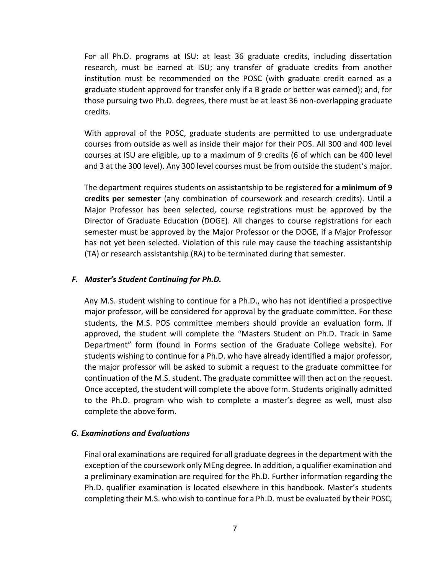For all Ph.D. programs at ISU: at least 36 graduate credits, including dissertation research, must be earned at ISU; any transfer of graduate credits from another institution must be recommended on the POSC (with graduate credit earned as a graduate student approved for transfer only if a B grade or better was earned); and, for those pursuing two Ph.D. degrees, there must be at least 36 non-overlapping graduate credits.

With approval of the POSC, graduate students are permitted to use undergraduate courses from outside as well as inside their major for their POS. All 300 and 400 level courses at ISU are eligible, up to a maximum of 9 credits (6 of which can be 400 level and 3 at the 300 level). Any 300 level courses must be from outside the student's major.

The department requires students on assistantship to be registered for **a minimum of 9 credits per semester** (any combination of coursework and research credits). Until a Major Professor has been selected, course registrations must be approved by the Director of Graduate Education (DOGE). All changes to course registrations for each semester must be approved by the Major Professor or the DOGE, if a Major Professor has not yet been selected. Violation of this rule may cause the teaching assistantship (TA) or research assistantship (RA) to be terminated during that semester.

#### <span id="page-7-0"></span>*F. Master's Student Continuing for Ph.D.*

Any M.S. student wishing to continue for a Ph.D., who has not identified a prospective major professor, will be considered for approval by the graduate committee. For these students, the M.S. POS committee members should provide an evaluation form. If approved, the student will complete the "Masters Student on Ph.D. Track in Same Department" form (found in Forms section of the Graduate College website). For students wishing to continue for a Ph.D. who have already identified a major professor, the major professor will be asked to submit a request to the graduate committee for continuation of the M.S. student. The graduate committee will then act on the request. Once accepted, the student will complete the above form. Students originally admitted to the Ph.D. program who wish to complete a master's degree as well, must also complete the above form.

#### <span id="page-7-1"></span>*G. Examinations and Evaluations*

Final oral examinations are required for all graduate degrees in the department with the exception of the coursework only MEng degree. In addition, a qualifier examination and a preliminary examination are required for the Ph.D. Further information regarding the Ph.D. qualifier examination is located elsewhere in this handbook. Master's students completing their M.S. who wish to continue for a Ph.D. must be evaluated by their POSC,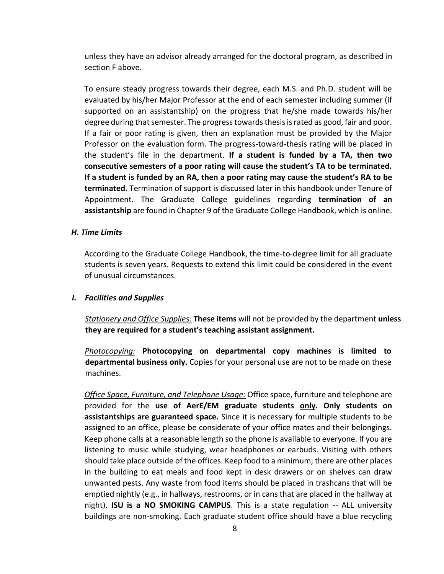unless they have an advisor already arranged for the doctoral program, as described in section F above.

To ensure steady progress towards their degree, each M.S. and Ph.D. student will be evaluated by his/her Major Professor at the end of each semester including summer (if supported on an assistantship) on the progress that he/she made towards his/her degree during that semester. The progress towards thesis is rated as good, fair and poor. If a fair or poor rating is given, then an explanation must be provided by the Major Professor on the evaluation form. The progress-toward-thesis rating will be placed in the student's file in the department. **If a student is funded by a TA, then two consecutive semesters of a poor rating will cause the student's TA to be terminated. If a student is funded by an RA, then a poor rating may cause the student's RA to be terminated.** Termination of support is discussed later in this handbook under Tenure of Appointment. The Graduate College guidelines regarding **termination of an assistantship** are found in Chapter 9 of the Graduate College Handbook, which is online.

#### <span id="page-8-0"></span>*H. Time Limits*

According to the Graduate College Handbook, the time-to-degree limit for all graduate students is seven years. Requests to extend this limit could be considered in the event of unusual circumstances.

#### <span id="page-8-1"></span>*I. Facilities and Supplies*

*Stationery and Office Supplies:* **These items** will not be provided by the department **unless they are required for a student's teaching assistant assignment.**

*Photocopying:* **Photocopying on departmental copy machines is limited to departmental business only.** Copies for your personal use are not to be made on these machines.

*Office Space, Furniture, and Telephone Usage:* Office space, furniture and telephone are provided for the **use of AerE/EM graduate students only. Only students on assistantships are guaranteed space.** Since it is necessary for multiple students to be assigned to an office, please be considerate of your office mates and their belongings. Keep phone calls at a reasonable length so the phone is available to everyone. If you are listening to music while studying, wear headphones or earbuds. Visiting with others should take place outside of the offices. Keep food to a minimum; there are other places in the building to eat meals and food kept in desk drawers or on shelves can draw unwanted pests. Any waste from food items should be placed in trashcans that will be emptied nightly (e.g., in hallways, restrooms, or in cans that are placed in the hallway at night). **ISU is a NO SMOKING CAMPUS**. This is a state regulation -- ALL university buildings are non-smoking. Each graduate student office should have a blue recycling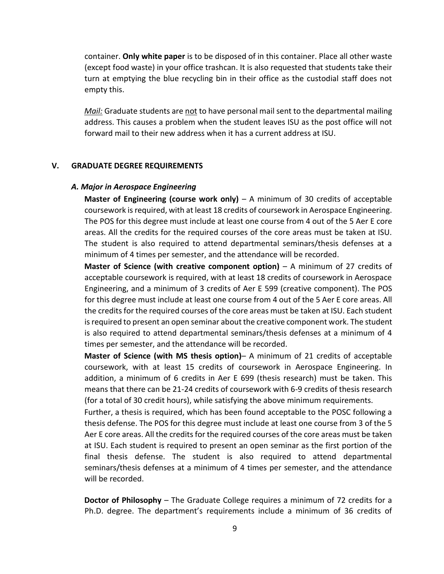container. **Only white paper** is to be disposed of in this container. Place all other waste (except food waste) in your office trashcan. It is also requested that students take their turn at emptying the blue recycling bin in their office as the custodial staff does not empty this.

*Mail:* Graduate students are not to have personal mail sent to the departmental mailing address. This causes a problem when the student leaves ISU as the post office will not forward mail to their new address when it has a current address at ISU.

#### <span id="page-9-1"></span><span id="page-9-0"></span>**V. GRADUATE DEGREE REQUIREMENTS**

#### *A. Major in Aerospace Engineering*

**Master of Engineering (course work only)** – A minimum of 30 credits of acceptable coursework is required, with at least 18 credits of coursework in Aerospace Engineering. The POS for this degree must include at least one course from 4 out of the 5 Aer E core areas. All the credits for the required courses of the core areas must be taken at ISU. The student is also required to attend departmental seminars/thesis defenses at a minimum of 4 times per semester, and the attendance will be recorded.

**Master of Science (with creative component option)** – A minimum of 27 credits of acceptable coursework is required, with at least 18 credits of coursework in Aerospace Engineering, and a minimum of 3 credits of Aer E 599 (creative component). The POS for this degree must include at least one course from 4 out of the 5 Aer E core areas. All the credits for the required courses of the core areas must be taken at ISU. Each student is required to present an open seminar about the creative component work. The student is also required to attend departmental seminars/thesis defenses at a minimum of 4 times per semester, and the attendance will be recorded.

**Master of Science (with MS thesis option)**– A minimum of 21 credits of acceptable coursework, with at least 15 credits of coursework in Aerospace Engineering. In addition, a minimum of 6 credits in Aer E 699 (thesis research) must be taken. This means that there can be 21-24 credits of coursework with 6-9 credits of thesis research (for a total of 30 credit hours), while satisfying the above minimum requirements.

Further, a thesis is required, which has been found acceptable to the POSC following a thesis defense. The POS for this degree must include at least one course from 3 of the 5 Aer E core areas. All the credits for the required courses of the core areas must be taken at ISU. Each student is required to present an open seminar as the first portion of the final thesis defense. The student is also required to attend departmental seminars/thesis defenses at a minimum of 4 times per semester, and the attendance will be recorded.

**Doctor of Philosophy** – The Graduate College requires a minimum of 72 credits for a Ph.D. degree. The department's requirements include a minimum of 36 credits of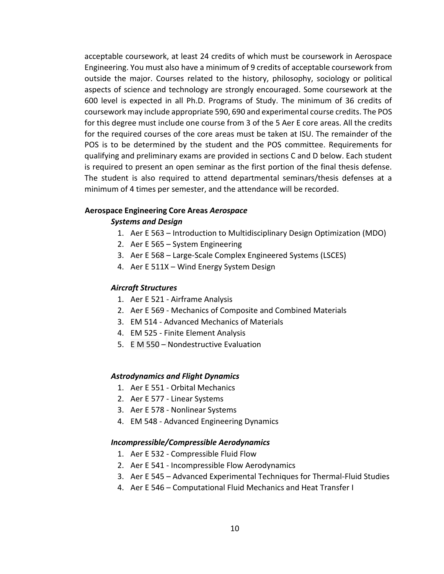acceptable coursework, at least 24 credits of which must be coursework in Aerospace Engineering. You must also have a minimum of 9 credits of acceptable coursework from outside the major. Courses related to the history, philosophy, sociology or political aspects of science and technology are strongly encouraged. Some coursework at the 600 level is expected in all Ph.D. Programs of Study. The minimum of 36 credits of coursework may include appropriate 590, 690 and experimental course credits. The POS for this degree must include one course from 3 of the 5 Aer E core areas. All the credits for the required courses of the core areas must be taken at ISU. The remainder of the POS is to be determined by the student and the POS committee. Requirements for qualifying and preliminary exams are provided in sections C and D below. Each student is required to present an open seminar as the first portion of the final thesis defense. The student is also required to attend departmental seminars/thesis defenses at a minimum of 4 times per semester, and the attendance will be recorded.

#### **Aerospace Engineering Core Areas** *Aerospace*

#### *Systems and Design*

- 1. Aer E 563 Introduction to Multidisciplinary Design Optimization (MDO)
- 2. Aer E 565 System Engineering
- 3. Aer E 568 Large-Scale Complex Engineered Systems (LSCES)
- 4. Aer E 511X Wind Energy System Design

#### *Aircraft Structures*

- 1. Aer E 521 Airframe Analysis
- 2. Aer E 569 Mechanics of Composite and Combined Materials
- 3. EM 514 Advanced Mechanics of Materials
- 4. EM 525 Finite Element Analysis
- 5. E M 550 [Nondestructive Evaluation](http://classes.iastate.edu/)

#### *Astrodynamics and Flight Dynamics*

- 1. Aer E 551 Orbital Mechanics
- 2. Aer E 577 Linear Systems
- 3. Aer E 578 Nonlinear Systems
- 4. EM 548 Advanced Engineering Dynamics

#### *Incompressible/Compressible Aerodynamics*

- 1. Aer E 532 Compressible Fluid Flow
- 2. Aer E 541 Incompressible Flow Aerodynamics
- 3. Aer E 545 Advanced Experimental Techniques for Thermal-Fluid Studies
- 4. Aer E 546 Computational Fluid Mechanics and Heat Transfer I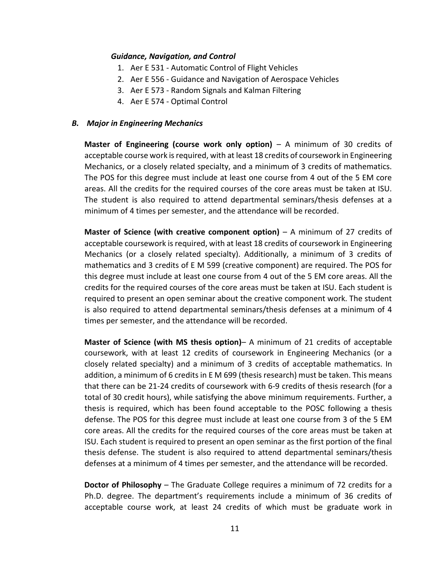#### *Guidance, Navigation, and Control*

- 1. Aer E 531 Automatic Control of Flight Vehicles
- 2. Aer E 556 Guidance and Navigation of Aerospace Vehicles
- 3. Aer E 573 Random Signals and Kalman Filtering
- 4. Aer E 574 Optimal Control

#### <span id="page-11-0"></span>*B. Major in Engineering Mechanics*

**Master of Engineering (course work only option)** – A minimum of 30 credits of acceptable course work is required, with at least 18 credits of coursework in Engineering Mechanics, or a closely related specialty, and a minimum of 3 credits of mathematics. The POS for this degree must include at least one course from 4 out of the 5 EM core areas. All the credits for the required courses of the core areas must be taken at ISU. The student is also required to attend departmental seminars/thesis defenses at a minimum of 4 times per semester, and the attendance will be recorded.

**Master of Science (with creative component option)** – A minimum of 27 credits of acceptable coursework is required, with at least 18 credits of coursework in Engineering Mechanics (or a closely related specialty). Additionally, a minimum of 3 credits of mathematics and 3 credits of E M 599 (creative component) are required. The POS for this degree must include at least one course from 4 out of the 5 EM core areas. All the credits for the required courses of the core areas must be taken at ISU. Each student is required to present an open seminar about the creative component work. The student is also required to attend departmental seminars/thesis defenses at a minimum of 4 times per semester, and the attendance will be recorded.

**Master of Science (with MS thesis option)**– A minimum of 21 credits of acceptable coursework, with at least 12 credits of coursework in Engineering Mechanics (or a closely related specialty) and a minimum of 3 credits of acceptable mathematics. In addition, a minimum of 6 credits in E M 699 (thesis research) must be taken. This means that there can be 21-24 credits of coursework with 6-9 credits of thesis research (for a total of 30 credit hours), while satisfying the above minimum requirements. Further, a thesis is required, which has been found acceptable to the POSC following a thesis defense. The POS for this degree must include at least one course from 3 of the 5 EM core areas. All the credits for the required courses of the core areas must be taken at ISU. Each student is required to present an open seminar as the first portion of the final thesis defense. The student is also required to attend departmental seminars/thesis defenses at a minimum of 4 times per semester, and the attendance will be recorded.

**Doctor of Philosophy** – The Graduate College requires a minimum of 72 credits for a Ph.D. degree. The department's requirements include a minimum of 36 credits of acceptable course work, at least 24 credits of which must be graduate work in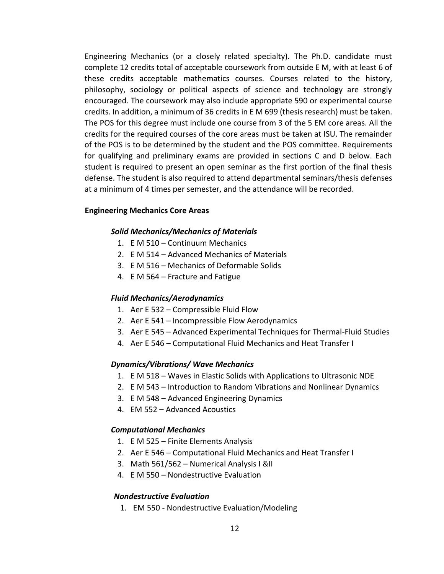Engineering Mechanics (or a closely related specialty). The Ph.D. candidate must complete 12 credits total of acceptable coursework from outside E M, with at least 6 of these credits acceptable mathematics courses. Courses related to the history, philosophy, sociology or political aspects of science and technology are strongly encouraged. The coursework may also include appropriate 590 or experimental course credits. In addition, a minimum of 36 credits in E M 699 (thesis research) must be taken. The POS for this degree must include one course from 3 of the 5 EM core areas. All the credits for the required courses of the core areas must be taken at ISU. The remainder of the POS is to be determined by the student and the POS committee. Requirements for qualifying and preliminary exams are provided in sections C and D below. Each student is required to present an open seminar as the first portion of the final thesis defense. The student is also required to attend departmental seminars/thesis defenses at a minimum of 4 times per semester, and the attendance will be recorded.

#### **Engineering Mechanics Core Areas**

#### *Solid Mechanics/Mechanics of Materials*

- 1. E M 510 Continuum Mechanics
- 2. E M 514 Advanced Mechanics of Materials
- 3. E M 516 Mechanics of Deformable Solids
- 4. E M 564 Fracture and Fatigue

#### *Fluid Mechanics/Aerodynamics*

- 1. Aer E 532 Compressible Fluid Flow
- 2. Aer E 541 Incompressible Flow Aerodynamics
- 3. Aer E 545 Advanced Experimental Techniques for Thermal-Fluid Studies
- 4. Aer E 546 Computational Fluid Mechanics and Heat Transfer I

#### *Dynamics/Vibrations/ Wave Mechanics*

- 1. E M 518 Waves in Elastic Solids with Applications to Ultrasonic NDE
- 2. E M 543 Introduction to Random Vibrations and Nonlinear Dynamics
- 3. E M 548 Advanced Engineering Dynamics
- 4. [EM 552](http://catalog.iastate.edu/azcourses/e_m/) **[–](http://catalog.iastate.edu/azcourses/e_m/)** [Advanced Acoustics](http://catalog.iastate.edu/azcourses/e_m/)

#### *Computational Mechanics*

- 1. E M 525 Finite Elements Analysis
- 2. Aer E 546 Computational Fluid Mechanics and Heat Transfer I
- 3. Math 561/562 Numerical Analysis I &II
- 4. E M 550 [Nondestructive Evaluation](http://classes.iastate.edu/)

#### *Nondestructive Evaluation*

1. EM 550 - Nondestructive Evaluation/Modeling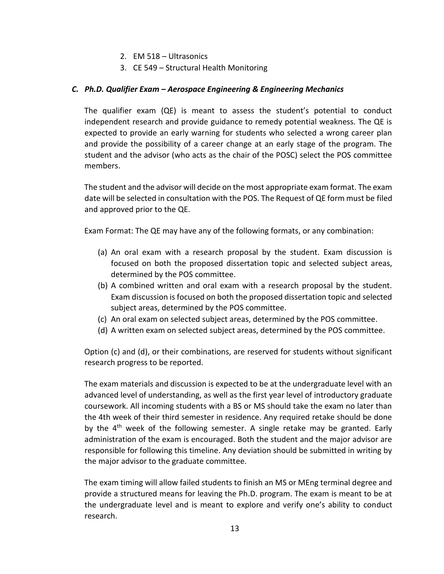- 2. EM 518 Ultrasonics
- 3. CE 549 Structural Health Monitoring

#### <span id="page-13-0"></span>*C. Ph.D. Qualifier Exam – Aerospace Engineering & Engineering Mechanics*

The qualifier exam (QE) is meant to assess the student's potential to conduct independent research and provide guidance to remedy potential weakness. The QE is expected to provide an early warning for students who selected a wrong career plan and provide the possibility of a career change at an early stage of the program. The student and the advisor (who acts as the chair of the POSC) select the POS committee members.

The student and the advisor will decide on the most appropriate exam format. The exam date will be selected in consultation with the POS. The Request of QE form must be filed and approved prior to the QE.

Exam Format: The QE may have any of the following formats, or any combination:

- (a) An oral exam with a research proposal by the student. Exam discussion is focused on both the proposed dissertation topic and selected subject areas, determined by the POS committee.
- (b) A combined written and oral exam with a research proposal by the student. Exam discussion is focused on both the proposed dissertation topic and selected subject areas, determined by the POS committee.
- (c) An oral exam on selected subject areas, determined by the POS committee.
- (d) A written exam on selected subject areas, determined by the POS committee.

Option (c) and (d), or their combinations, are reserved for students without significant research progress to be reported.

The exam materials and discussion is expected to be at the undergraduate level with an advanced level of understanding, as well as the first year level of introductory graduate coursework. All incoming students with a BS or MS should take the exam no later than the 4th week of their third semester in residence. Any required retake should be done by the  $4<sup>th</sup>$  week of the following semester. A single retake may be granted. Early administration of the exam is encouraged. Both the student and the major advisor are responsible for following this timeline. Any deviation should be submitted in writing by the major advisor to the graduate committee.

The exam timing will allow failed students to finish an MS or MEng terminal degree and provide a structured means for leaving the Ph.D. program. The exam is meant to be at the undergraduate level and is meant to explore and verify one's ability to conduct research.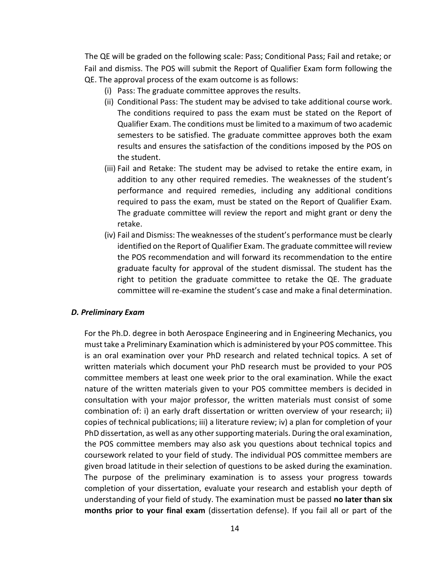The QE will be graded on the following scale: Pass; Conditional Pass; Fail and retake; or Fail and dismiss. The POS will submit the Report of Qualifier Exam form following the QE. The approval process of the exam outcome is as follows:

- (i) Pass: The graduate committee approves the results.
- (ii) Conditional Pass: The student may be advised to take additional course work. The conditions required to pass the exam must be stated on the Report of Qualifier Exam. The conditions must be limited to a maximum of two academic semesters to be satisfied. The graduate committee approves both the exam results and ensures the satisfaction of the conditions imposed by the POS on the student.
- (iii) Fail and Retake: The student may be advised to retake the entire exam, in addition to any other required remedies. The weaknesses of the student's performance and required remedies, including any additional conditions required to pass the exam, must be stated on the Report of Qualifier Exam. The graduate committee will review the report and might grant or deny the retake.
- (iv) Fail and Dismiss: The weaknesses of the student's performance must be clearly identified on the Report of Qualifier Exam. The graduate committee will review the POS recommendation and will forward its recommendation to the entire graduate faculty for approval of the student dismissal. The student has the right to petition the graduate committee to retake the QE. The graduate committee will re-examine the student's case and make a final determination.

#### <span id="page-14-0"></span>*D. Preliminary Exam*

For the Ph.D. degree in both Aerospace Engineering and in Engineering Mechanics, you must take a Preliminary Examination which is administered by your POS committee. This is an oral examination over your PhD research and related technical topics. A set of written materials which document your PhD research must be provided to your POS committee members at least one week prior to the oral examination. While the exact nature of the written materials given to your POS committee members is decided in consultation with your major professor, the written materials must consist of some combination of: i) an early draft dissertation or written overview of your research; ii) copies of technical publications; iii) a literature review; iv) a plan for completion of your PhD dissertation, as well as any other supporting materials. During the oral examination, the POS committee members may also ask you questions about technical topics and coursework related to your field of study. The individual POS committee members are given broad latitude in their selection of questions to be asked during the examination. The purpose of the preliminary examination is to assess your progress towards completion of your dissertation, evaluate your research and establish your depth of understanding of your field of study. The examination must be passed **no later than six months prior to your final exam** (dissertation defense). If you fail all or part of the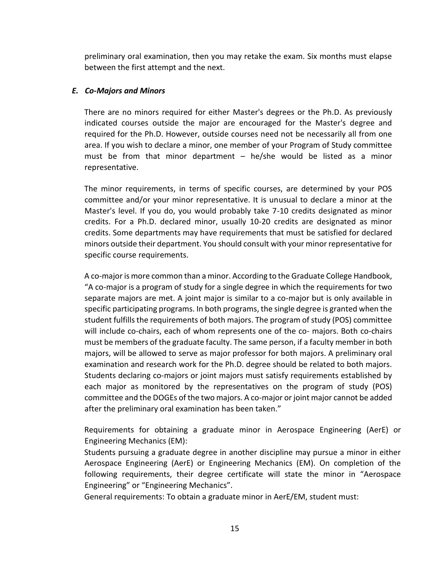preliminary oral examination, then you may retake the exam. Six months must elapse between the first attempt and the next.

#### <span id="page-15-0"></span>*E. Co-Majors and Minors*

There are no minors required for either Master's degrees or the Ph.D. As previously indicated courses outside the major are encouraged for the Master's degree and required for the Ph.D. However, outside courses need not be necessarily all from one area. If you wish to declare a minor, one member of your Program of Study committee must be from that minor department – he/she would be listed as a minor representative.

The minor requirements, in terms of specific courses, are determined by your POS committee and/or your minor representative. It is unusual to declare a minor at the Master's level. If you do, you would probably take 7-10 credits designated as minor credits. For a Ph.D. declared minor, usually 10-20 credits are designated as minor credits. Some departments may have requirements that must be satisfied for declared minors outside their department. You should consult with your minor representative for specific course requirements.

A co-major is more common than a minor. According to the Graduate College Handbook, "A co-major is a program of study for a single degree in which the requirements for two separate majors are met. A joint major is similar to a co-major but is only available in specific participating programs. In both programs, the single degree is granted when the student fulfills the requirements of both majors. The program of study (POS) committee will include co-chairs, each of whom represents one of the co- majors. Both co-chairs must be members of the graduate faculty. The same person, if a faculty member in both majors, will be allowed to serve as major professor for both majors. A preliminary oral examination and research work for the Ph.D. degree should be related to both majors. Students declaring co-majors or joint majors must satisfy requirements established by each major as monitored by the representatives on the program of study (POS) committee and the DOGEs of the two majors. A co-major or joint major cannot be added after the preliminary oral examination has been taken."

Requirements for obtaining a graduate minor in Aerospace Engineering (AerE) or Engineering Mechanics (EM):

Students pursuing a graduate degree in another discipline may pursue a minor in either Aerospace Engineering (AerE) or Engineering Mechanics (EM). On completion of the following requirements, their degree certificate will state the minor in "Aerospace Engineering" or "Engineering Mechanics".

General requirements: To obtain a graduate minor in AerE/EM, student must: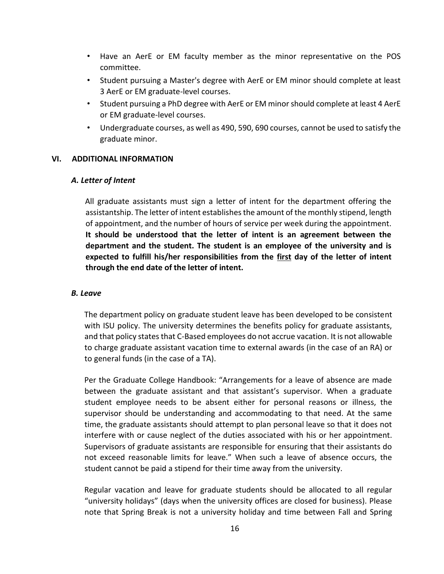- Have an AerE or EM faculty member as the minor representative on the POS committee.
- Student pursuing a Master's degree with AerE or EM minor should complete at least 3 AerE or EM graduate-level courses.
- Student pursuing a PhD degree with AerE or EM minor should complete at least 4 AerE or EM graduate-level courses.
- Undergraduate courses, as well as 490, 590, 690 courses, cannot be used to satisfy the graduate minor.

#### <span id="page-16-1"></span><span id="page-16-0"></span>**VI. ADDITIONAL INFORMATION**

#### *A. Letter of Intent*

All graduate assistants must sign a letter of intent for the department offering the assistantship. The letter of intent establishes the amount of the monthly stipend, length of appointment, and the number of hours of service per week during the appointment. **It should be understood that the letter of intent is an agreement between the department and the student. The student is an employee of the university and is expected to fulfill his/her responsibilities from the first day of the letter of intent through the end date of the letter of intent.**

#### <span id="page-16-2"></span>*B. Leave*

The department policy on graduate student leave has been developed to be consistent with ISU policy. The university determines the benefits policy for graduate assistants, and that policy states that C-Based employees do not accrue vacation. It is not allowable to charge graduate assistant vacation time to external awards (in the case of an RA) or to general funds (in the case of a TA).

Per the Graduate College Handbook: "Arrangements for a leave of absence are made between the graduate assistant and that assistant's supervisor. When a graduate student employee needs to be absent either for personal reasons or illness, the supervisor should be understanding and accommodating to that need. At the same time, the graduate assistants should attempt to plan personal leave so that it does not interfere with or cause neglect of the duties associated with his or her appointment. Supervisors of graduate assistants are responsible for ensuring that their assistants do not exceed reasonable limits for leave." When such a leave of absence occurs, the student cannot be paid a stipend for their time away from the university.

Regular vacation and leave for graduate students should be allocated to all regular "university holidays" (days when the university offices are closed for business). Please note that Spring Break is not a university holiday and time between Fall and Spring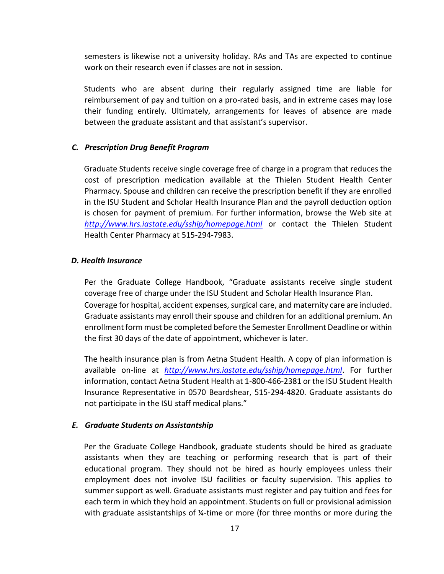semesters is likewise not a university holiday. RAs and TAs are expected to continue work on their research even if classes are not in session.

Students who are absent during their regularly assigned time are liable for reimbursement of pay and tuition on a pro-rated basis, and in extreme cases may lose their funding entirely. Ultimately, arrangements for leaves of absence are made between the graduate assistant and that assistant's supervisor.

#### <span id="page-17-0"></span>*C. Prescription Drug Benefit Program*

Graduate Students receive single coverage free of charge in a program that reduces the cost of prescription medication available at the Thielen Student Health Center Pharmacy. Spouse and children can receive the prescription benefit if they are enrolled in the ISU Student and Scholar Health Insurance Plan and the payroll deduction option is chosen for payment of premium. For further information, browse the Web site at *<http://www.hrs.iastate.edu/sship/homepage.html>* or contact the Thielen Student Health Center Pharmacy at 515-294-7983.

#### <span id="page-17-1"></span>*D. Health Insurance*

Per the Graduate College Handbook, "Graduate assistants receive single student coverage free of charge under the ISU Student and Scholar Health Insurance Plan. Coverage for hospital, accident expenses, surgical care, and maternity care are included. Graduate assistants may enroll their spouse and children for an additional premium. An enrollment form must be completed before the Semester Enrollment Deadline or within the first 30 days of the date of appointment, whichever is later.

The health insurance plan is from Aetna Student Health. A copy of plan information is available on-line at *<http://www.hrs.iastate.edu/sship/homepage.html>*[.](http://www.hrs.iastate.edu/sship/homepage.html) For further information, contact Aetna Student Health at 1-800-466-2381 or the ISU Student Health Insurance Representative in 0570 Beardshear, 515-294-4820. Graduate assistants do not participate in the ISU staff medical plans."

#### <span id="page-17-2"></span>*E. Graduate Students on Assistantship*

Per the Graduate College Handbook, graduate students should be hired as graduate assistants when they are teaching or performing research that is part of their educational program. They should not be hired as hourly employees unless their employment does not involve ISU facilities or faculty supervision. This applies to summer support as well. Graduate assistants must register and pay tuition and fees for each term in which they hold an appointment. Students on full or provisional admission with graduate assistantships of ¼-time or more (for three months or more during the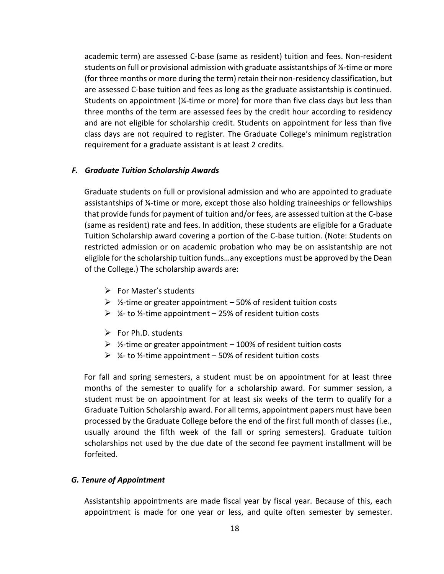academic term) are assessed C-base (same as resident) tuition and fees. Non-resident students on full or provisional admission with graduate assistantships of ¼-time or more (for three months or more during the term) retain their non-residency classification, but are assessed C-base tuition and fees as long as the graduate assistantship is continued. Students on appointment (¼-time or more) for more than five class days but less than three months of the term are assessed fees by the credit hour according to residency and are not eligible for scholarship credit. Students on appointment for less than five class days are not required to register. The Graduate College's minimum registration requirement for a graduate assistant is at least 2 credits.

#### <span id="page-18-0"></span>*F. Graduate Tuition Scholarship Awards*

Graduate students on full or provisional admission and who are appointed to graduate assistantships of ¼-time or more, except those also holding traineeships or fellowships that provide funds for payment of tuition and/or fees, are assessed tuition at the C-base (same as resident) rate and fees. In addition, these students are eligible for a Graduate Tuition Scholarship award covering a portion of the C-base tuition. (Note: Students on restricted admission or on academic probation who may be on assistantship are not eligible for the scholarship tuition funds…any exceptions must be approved by the Dean of the College.) The scholarship awards are:

- ➢ For Master's students
- $\triangleright$  %-time or greater appointment 50% of resident tuition costs
- $\geq$  1/4- to 1/2-time appointment 25% of resident tuition costs
- $\triangleright$  For Ph.D. students
- $\triangleright$  %-time or greater appointment 100% of resident tuition costs
- $\triangleright$  %- to %-time appointment 50% of resident tuition costs

For fall and spring semesters, a student must be on appointment for at least three months of the semester to qualify for a scholarship award. For summer session, a student must be on appointment for at least six weeks of the term to qualify for a Graduate Tuition Scholarship award. For all terms, appointment papers must have been processed by the Graduate College before the end of the first full month of classes (i.e., usually around the fifth week of the fall or spring semesters). Graduate tuition scholarships not used by the due date of the second fee payment installment will be forfeited.

#### <span id="page-18-1"></span>*G. Tenure of Appointment*

Assistantship appointments are made fiscal year by fiscal year. Because of this, each appointment is made for one year or less, and quite often semester by semester.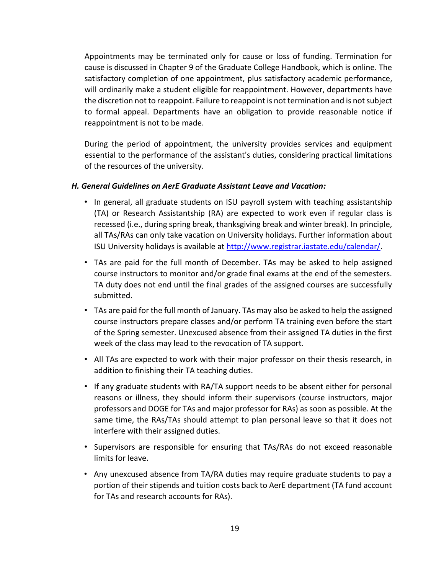Appointments may be terminated only for cause or loss of funding. Termination for cause is discussed in Chapter 9 of the Graduate College Handbook, which is online. The satisfactory completion of one appointment, plus satisfactory academic performance, will ordinarily make a student eligible for reappointment. However, departments have the discretion not to reappoint. Failure to reappoint is not termination and is not subject to formal appeal. Departments have an obligation to provide reasonable notice if reappointment is not to be made.

During the period of appointment, the university provides services and equipment essential to the performance of the assistant's duties, considering practical limitations of the resources of the university.

#### <span id="page-19-0"></span>*H. General Guidelines on AerE Graduate Assistant Leave and Vacation:*

- In general, all graduate students on ISU payroll system with teaching assistantship (TA) or Research Assistantship (RA) are expected to work even if regular class is recessed (i.e., during spring break, thanksgiving break and winter break). In principle, all TAs/RAs can only take vacation on University holidays. Further information about ISU University holidays is available a[t](http://www.registrar.iastate.edu/calendar/) [http://www.registrar.iastate.edu/calendar/.](http://www.registrar.iastate.edu/calendar/)
- TAs are paid for the full month of December. TAs may be asked to help assigned course instructors to monitor and/or grade final exams at the end of the semesters. TA duty does not end until the final grades of the assigned courses are successfully submitted.
- TAs are paid for the full month of January. TAs may also be asked to help the assigned course instructors prepare classes and/or perform TA training even before the start of the Spring semester. Unexcused absence from their assigned TA duties in the first week of the class may lead to the revocation of TA support.
- All TAs are expected to work with their major professor on their thesis research, in addition to finishing their TA teaching duties.
- If any graduate students with RA/TA support needs to be absent either for personal reasons or illness, they should inform their supervisors (course instructors, major professors and DOGE for TAs and major professor for RAs) as soon as possible. At the same time, the RAs/TAs should attempt to plan personal leave so that it does not interfere with their assigned duties.
- Supervisors are responsible for ensuring that TAs/RAs do not exceed reasonable limits for leave.
- Any unexcused absence from TA/RA duties may require graduate students to pay a portion of their stipends and tuition costs back to AerE department (TA fund account for TAs and research accounts for RAs).